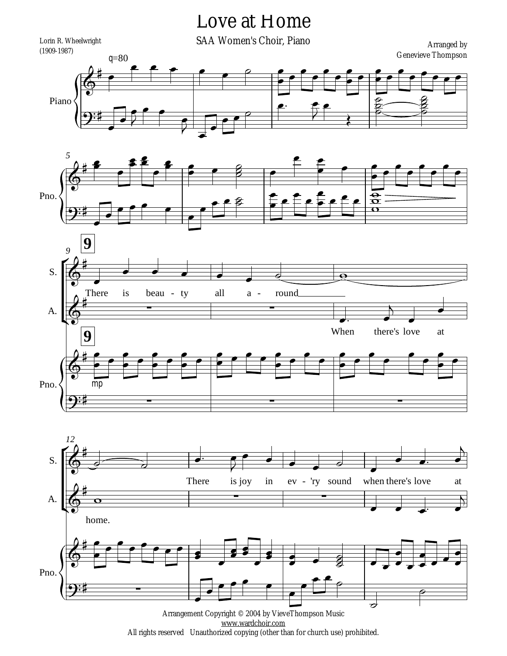## Love at Home









All rights reserved Unauthorized copying (other than for church use) prohibited.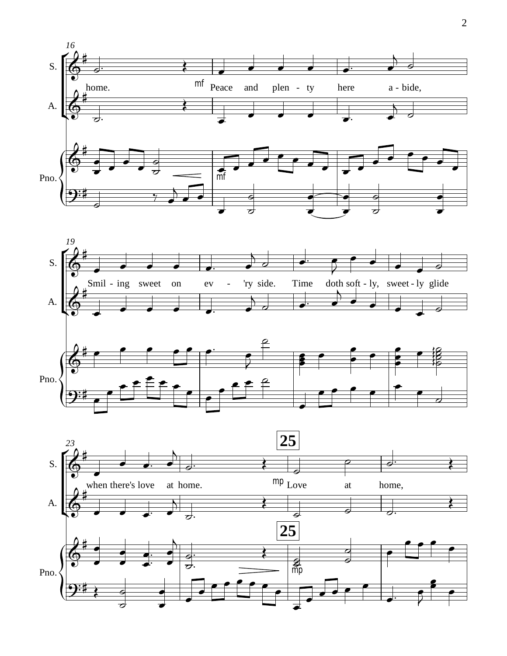



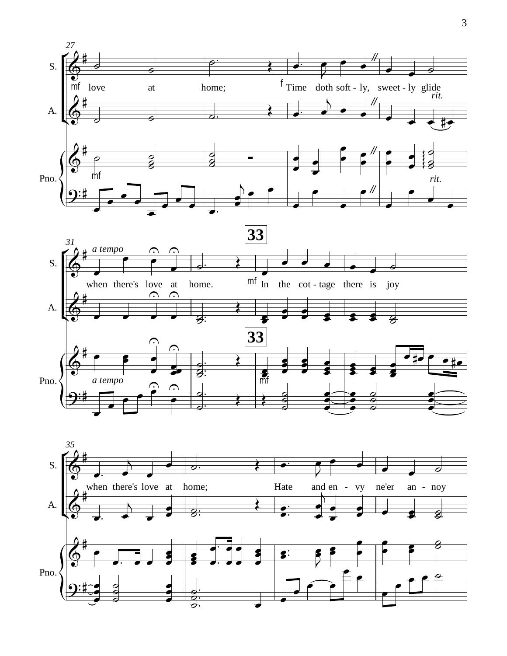



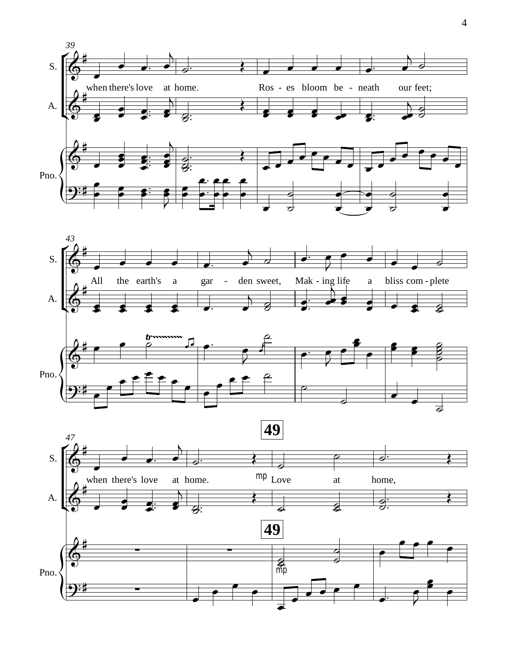



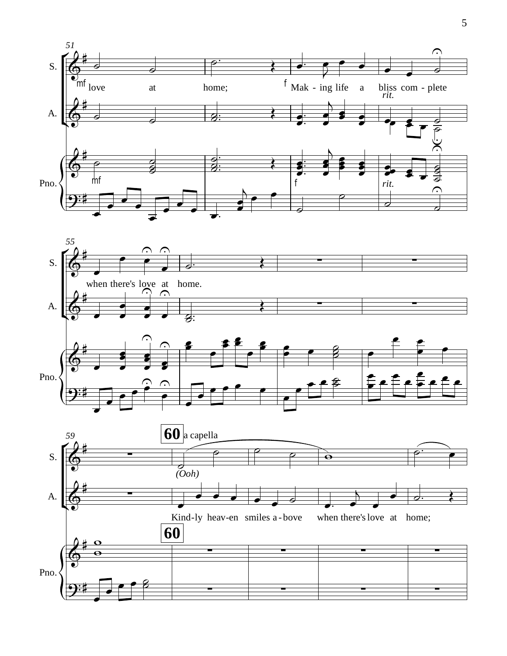

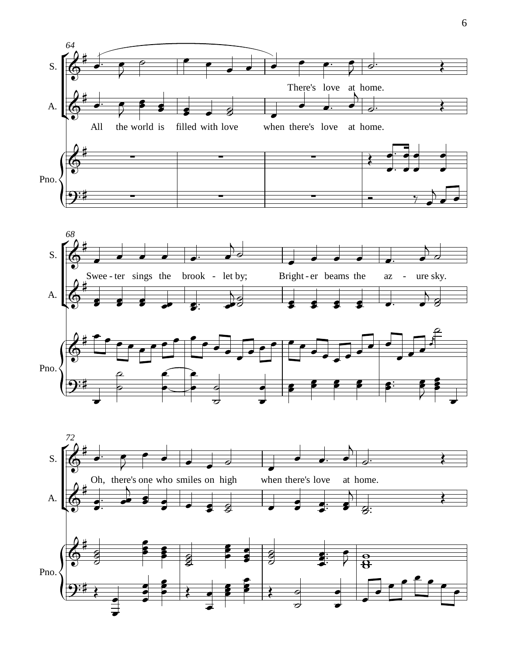